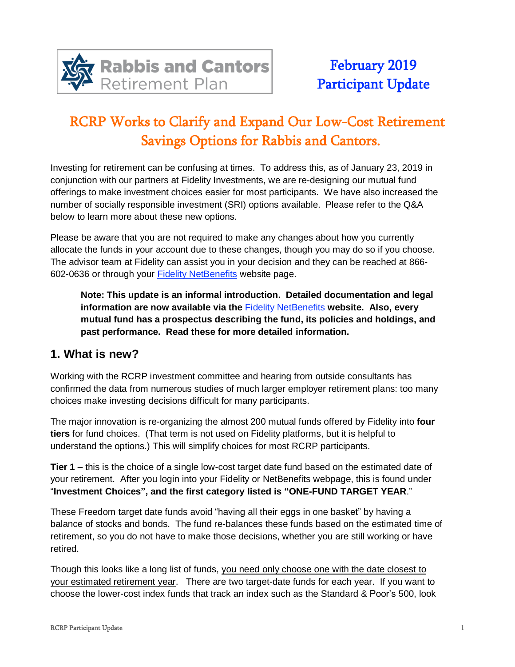

# RCRP Works to Clarify and Expand Our Low-Cost Retirement Savings Options for Rabbis and Cantors.

Investing for retirement can be confusing at times. To address this, as of January 23, 2019 in conjunction with our partners at Fidelity Investments, we are re-designing our mutual fund offerings to make investment choices easier for most participants. We have also increased the number of socially responsible investment (SRI) options available. Please refer to the Q&A below to learn more about these new options.

Please be aware that you are not required to make any changes about how you currently allocate the funds in your account due to these changes, though you may do so if you choose. The advisor team at Fidelity can assist you in your decision and they can be reached at 866- 602-0636 or through your Fidelity [NetBenefits](https://retiretxn.fidelity.com/) website page.

**Note: This update is an informal introduction. Detailed documentation and legal information are now available via the** Fidelity [NetBenefits](https://retiretxn.fidelity.com/) **website. Also, every mutual fund has a prospectus describing the fund, its policies and holdings, and past performance. Read these for more detailed information.**

#### **1. What is new?**

Working with the RCRP investment committee and hearing from outside consultants has confirmed the data from numerous studies of much larger employer retirement plans: too many choices make investing decisions difficult for many participants.

The major innovation is re-organizing the almost 200 mutual funds offered by Fidelity into **four tiers** for fund choices. (That term is not used on Fidelity platforms, but it is helpful to understand the options.) This will simplify choices for most RCRP participants.

**Tier 1** – this is the choice of a single low-cost target date fund based on the estimated date of your retirement. After you login into your Fidelity or NetBenefits webpage, this is found under "**Investment Choices", and the first category listed is "ONE-FUND TARGET YEAR**."

These Freedom target date funds avoid "having all their eggs in one basket" by having a balance of stocks and bonds. The fund re-balances these funds based on the estimated time of retirement, so you do not have to make those decisions, whether you are still working or have retired.

Though this looks like a long list of funds, you need only choose one with the date closest to your estimated retirement year. There are two target-date funds for each year. If you want to choose the lower-cost index funds that track an index such as the Standard & Poor's 500, look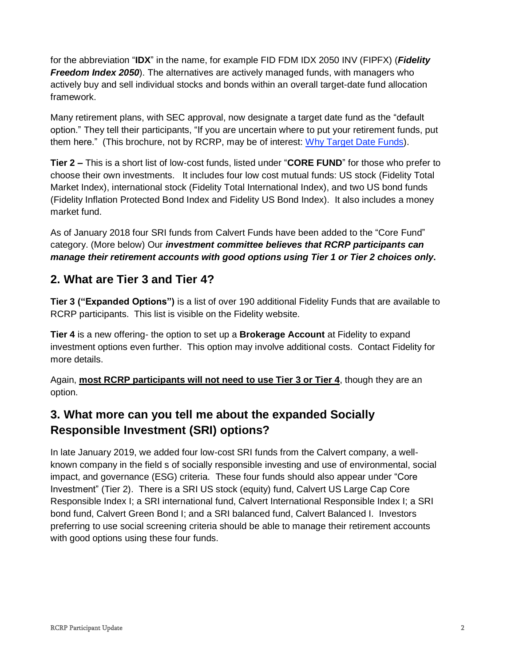for the abbreviation "**IDX**" in the name, for example FID FDM IDX 2050 INV (FIPFX) (*Fidelity Freedom Index 2050*). The alternatives are actively managed funds, with managers who actively buy and sell individual stocks and bonds within an overall target-date fund allocation framework.

Many retirement plans, with SEC approval, now designate a target date fund as the "default option." They tell their participants, "If you are uncertain where to put your retirement funds, put them here." (This brochure, not by RCRP, may be of interest: Why Target Date [Funds\)](http://crr.bc.edu/wp-content/uploads/2012/01/TDF-booklet_0707131.pdf).

**Tier 2 –** This is a short list of low-cost funds, listed under "**CORE FUND**" for those who prefer to choose their own investments. It includes four low cost mutual funds: US stock (Fidelity Total Market Index), international stock (Fidelity Total International Index), and two US bond funds (Fidelity Inflation Protected Bond Index and Fidelity US Bond Index). It also includes a money market fund.

As of January 2018 four SRI funds from Calvert Funds have been added to the "Core Fund" category. (More below) Our *investment committee believes that RCRP participants can manage their retirement accounts with good options using Tier 1 or Tier 2 choices only***.**

#### **2. What are Tier 3 and Tier 4?**

**Tier 3 ("Expanded Options")** is a list of over 190 additional Fidelity Funds that are available to RCRP participants. This list is visible on the Fidelity website.

**Tier 4** is a new offering- the option to set up a **Brokerage Account** at Fidelity to expand investment options even further. This option may involve additional costs. Contact Fidelity for more details.

Again, **most RCRP participants will not need to use Tier 3 or Tier 4**, though they are an option.

#### **3. What more can you tell me about the expanded Socially Responsible Investment (SRI) options?**

In late January 2019, we added four low-cost SRI funds from the Calvert company, a wellknown company in the field s of socially responsible investing and use of environmental, social impact, and governance (ESG) criteria. These four funds should also appear under "Core Investment" (Tier 2). There is a SRI US stock (equity) fund, Calvert US Large Cap Core Responsible Index I; a SRI international fund, Calvert International Responsible Index I; a SRI bond fund, Calvert Green Bond I; and a SRI balanced fund, Calvert Balanced I. Investors preferring to use social screening criteria should be able to manage their retirement accounts with good options using these four funds.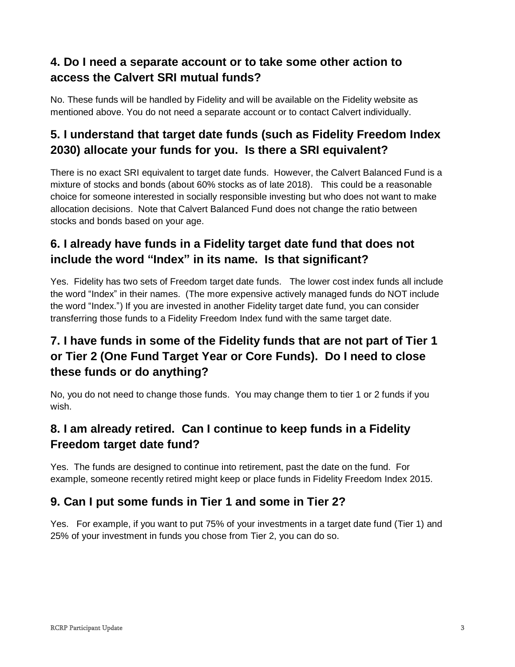## **4. Do I need a separate account or to take some other action to access the Calvert SRI mutual funds?**

No. These funds will be handled by Fidelity and will be available on the Fidelity website as mentioned above. You do not need a separate account or to contact Calvert individually.

# **5. I understand that target date funds (such as Fidelity Freedom Index 2030) allocate your funds for you. Is there a SRI equivalent?**

There is no exact SRI equivalent to target date funds. However, the Calvert Balanced Fund is a mixture of stocks and bonds (about 60% stocks as of late 2018). This could be a reasonable choice for someone interested in socially responsible investing but who does not want to make allocation decisions. Note that Calvert Balanced Fund does not change the ratio between stocks and bonds based on your age.

### **6. I already have funds in a Fidelity target date fund that does not include the word "Index" in its name. Is that significant?**

Yes. Fidelity has two sets of Freedom target date funds. The lower cost index funds all include the word "Index" in their names. (The more expensive actively managed funds do NOT include the word "Index.") If you are invested in another Fidelity target date fund, you can consider transferring those funds to a Fidelity Freedom Index fund with the same target date.

# **7. I have funds in some of the Fidelity funds that are not part of Tier 1 or Tier 2 (One Fund Target Year or Core Funds). Do I need to close these funds or do anything?**

No, you do not need to change those funds. You may change them to tier 1 or 2 funds if you wish.

## **8. I am already retired. Can I continue to keep funds in a Fidelity Freedom target date fund?**

Yes. The funds are designed to continue into retirement, past the date on the fund. For example, someone recently retired might keep or place funds in Fidelity Freedom Index 2015.

#### **9. Can I put some funds in Tier 1 and some in Tier 2?**

Yes. For example, if you want to put 75% of your investments in a target date fund (Tier 1) and 25% of your investment in funds you chose from Tier 2, you can do so.